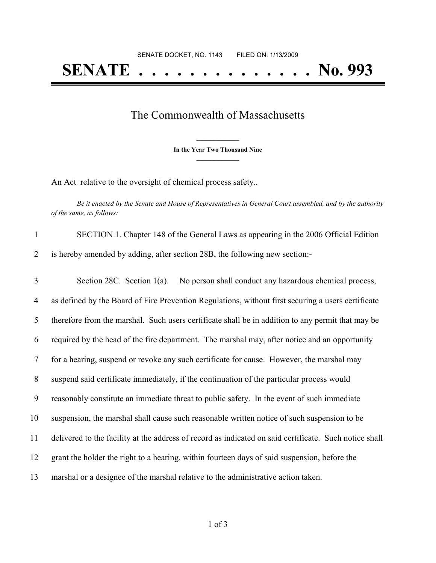## **SENATE . . . . . . . . . . . . . . No. 993**

## The Commonwealth of Massachusetts

**\_\_\_\_\_\_\_\_\_\_\_\_\_\_\_ In the Year Two Thousand Nine \_\_\_\_\_\_\_\_\_\_\_\_\_\_\_**

An Act relative to the oversight of chemical process safety..

Be it enacted by the Senate and House of Representatives in General Court assembled, and by the authority *of the same, as follows:*

| SECTION 1. Chapter 148 of the General Laws as appearing in the 2006 Official Edition |
|--------------------------------------------------------------------------------------|
| 2 is hereby amended by adding, after section 28B, the following new section:-        |

 Section 28C. Section 1(a). No person shall conduct any hazardous chemical process, as defined by the Board of Fire Prevention Regulations, without first securing a users certificate therefore from the marshal. Such users certificate shall be in addition to any permit that may be required by the head of the fire department. The marshal may, after notice and an opportunity for a hearing, suspend or revoke any such certificate for cause. However, the marshal may suspend said certificate immediately, if the continuation of the particular process would reasonably constitute an immediate threat to public safety. In the event of such immediate suspension, the marshal shall cause such reasonable written notice of such suspension to be delivered to the facility at the address of record as indicated on said certificate. Such notice shall grant the holder the right to a hearing, within fourteen days of said suspension, before the marshal or a designee of the marshal relative to the administrative action taken.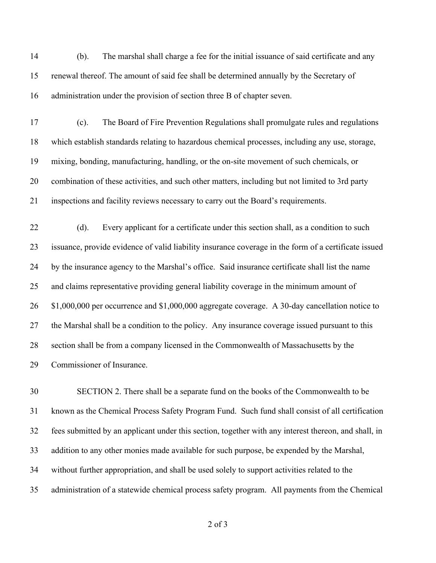(b). The marshal shall charge a fee for the initial issuance of said certificate and any renewal thereof. The amount of said fee shall be determined annually by the Secretary of administration under the provision of section three B of chapter seven.

 (c). The Board of Fire Prevention Regulations shall promulgate rules and regulations which establish standards relating to hazardous chemical processes, including any use, storage, mixing, bonding, manufacturing, handling, or the on-site movement of such chemicals, or combination of these activities, and such other matters, including but not limited to 3rd party inspections and facility reviews necessary to carry out the Board's requirements.

22 (d). Every applicant for a certificate under this section shall, as a condition to such issuance, provide evidence of valid liability insurance coverage in the form of a certificate issued by the insurance agency to the Marshal's office. Said insurance certificate shall list the name and claims representative providing general liability coverage in the minimum amount of \$1,000,000 per occurrence and \$1,000,000 aggregate coverage. A 30-day cancellation notice to the Marshal shall be a condition to the policy. Any insurance coverage issued pursuant to this section shall be from a company licensed in the Commonwealth of Massachusetts by the Commissioner of Insurance.

 SECTION 2. There shall be a separate fund on the books of the Commonwealth to be known as the Chemical Process Safety Program Fund. Such fund shall consist of all certification fees submitted by an applicant under this section, together with any interest thereon, and shall, in addition to any other monies made available for such purpose, be expended by the Marshal, without further appropriation, and shall be used solely to support activities related to the administration of a statewide chemical process safety program. All payments from the Chemical

of 3